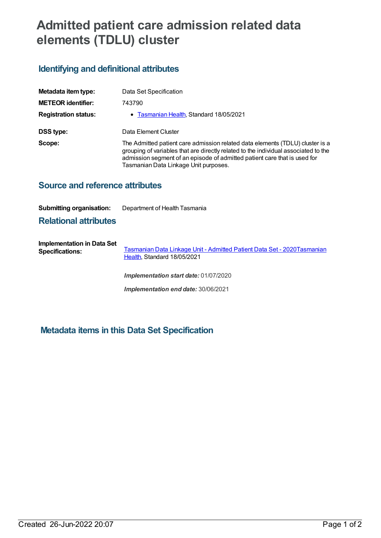# **Admitted patient care admission related data elements (TDLU) cluster**

## **Identifying and definitional attributes**

| Metadata item type:         | Data Set Specification                                                                                                                                                                                                                                                                     |
|-----------------------------|--------------------------------------------------------------------------------------------------------------------------------------------------------------------------------------------------------------------------------------------------------------------------------------------|
| <b>METEOR identifier:</b>   | 743790                                                                                                                                                                                                                                                                                     |
| <b>Registration status:</b> | • Tasmanian Health, Standard 18/05/2021                                                                                                                                                                                                                                                    |
| DSS type:                   | Data Element Cluster                                                                                                                                                                                                                                                                       |
| Scope:                      | The Admitted patient care admission related data elements (TDLU) cluster is a<br>grouping of variables that are directly related to the individual associated to the<br>admission segment of an episode of admitted patient care that is used for<br>Tasmanian Data Linkage Unit purposes. |

### **Source and reference attributes**

#### **Submitting organisation:** Department of Health Tasmania

#### **Relational attributes**

**Implementation in Data Set Specifications:** [Tasmanian](https://meteor.aihw.gov.au/content/739827) Data Linkage Unit - Admitted Patient Data Set - [2020Tasmanian](https://meteor.aihw.gov.au/RegistrationAuthority/15) Health, Standard 18/05/2021

*Implementation start date:* 01/07/2020

*Implementation end date:* 30/06/2021

### **Metadata items in this Data Set Specification**